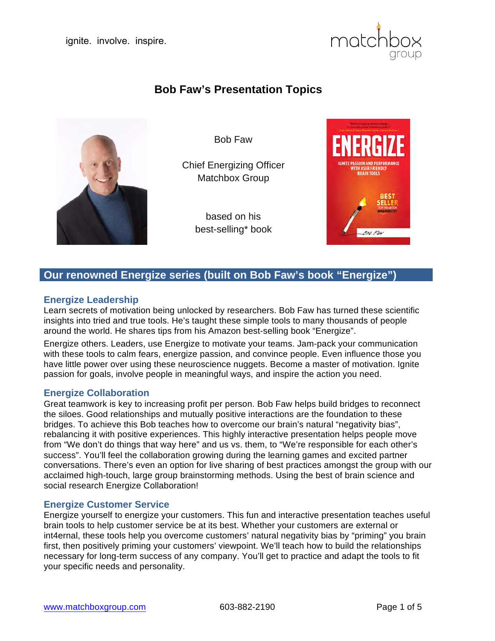

# **Bob Faw's Presentation Topics**



Bob Faw

Chief Energizing Officer Matchbox Group

> based on his best-selling\* book



# **Our renowned Energize series (built on Bob Faw's book "Energize")**

# **Energize Leadership**

Learn secrets of motivation being unlocked by researchers. Bob Faw has turned these scientific insights into tried and true tools. He's taught these simple tools to many thousands of people around the world. He shares tips from his Amazon best-selling book "Energize".

Energize others. Leaders, use Energize to motivate your teams. Jam-pack your communication with these tools to calm fears, energize passion, and convince people. Even influence those you have little power over using these neuroscience nuggets. Become a master of motivation. Ignite passion for goals, involve people in meaningful ways, and inspire the action you need.

## **Energize Collaboration**

Great teamwork is key to increasing profit per person. Bob Faw helps build bridges to reconnect the siloes. Good relationships and mutually positive interactions are the foundation to these bridges. To achieve this Bob teaches how to overcome our brain's natural "negativity bias", rebalancing it with positive experiences. This highly interactive presentation helps people move from "We don't do things that way here" and us vs. them, to "We're responsible for each other's success". You'll feel the collaboration growing during the learning games and excited partner conversations. There's even an option for live sharing of best practices amongst the group with our acclaimed high-touch, large group brainstorming methods. Using the best of brain science and social research Energize Collaboration!

### **Energize Customer Service**

Energize yourself to energize your customers. This fun and interactive presentation teaches useful brain tools to help customer service be at its best. Whether your customers are external or int4ernal, these tools help you overcome customers' natural negativity bias by "priming" you brain first, then positively priming your customers' viewpoint. We'll teach how to build the relationships necessary for long-term success of any company. You'll get to practice and adapt the tools to fit your specific needs and personality.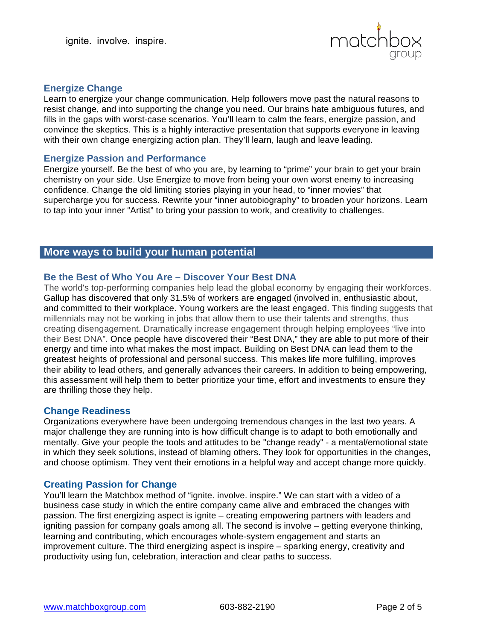

## **Energize Change**

Learn to energize your change communication. Help followers move past the natural reasons to resist change, and into supporting the change you need. Our brains hate ambiguous futures, and fills in the gaps with worst-case scenarios. You'll learn to calm the fears, energize passion, and convince the skeptics. This is a highly interactive presentation that supports everyone in leaving with their own change energizing action plan. They'll learn, laugh and leave leading.

### **Energize Passion and Performance**

Energize yourself. Be the best of who you are, by learning to "prime" your brain to get your brain chemistry on your side. Use Energize to move from being your own worst enemy to increasing confidence. Change the old limiting stories playing in your head, to "inner movies" that supercharge you for success. Rewrite your "inner autobiography" to broaden your horizons. Learn to tap into your inner "Artist" to bring your passion to work, and creativity to challenges.

# **More ways to build your human potential**

# **Be the Best of Who You Are – Discover Your Best DNA**

The world's top-performing companies help lead the global economy by engaging their workforces. Gallup has discovered that only 31.5% of workers are engaged (involved in, enthusiastic about, and committed to their workplace. Young workers are the least engaged. This finding suggests that millennials may not be working in jobs that allow them to use their talents and strengths, thus creating disengagement. Dramatically increase engagement through helping employees "live into their Best DNA". Once people have discovered their "Best DNA," they are able to put more of their energy and time into what makes the most impact. Building on Best DNA can lead them to the greatest heights of professional and personal success. This makes life more fulfilling, improves their ability to lead others, and generally advances their careers. In addition to being empowering, this assessment will help them to better prioritize your time, effort and investments to ensure they are thrilling those they help.

## **Change Readiness**

Organizations everywhere have been undergoing tremendous changes in the last two years. A major challenge they are running into is how difficult change is to adapt to both emotionally and mentally. Give your people the tools and attitudes to be "change ready" - a mental/emotional state in which they seek solutions, instead of blaming others. They look for opportunities in the changes, and choose optimism. They vent their emotions in a helpful way and accept change more quickly.

## **Creating Passion for Change**

You'll learn the Matchbox method of "ignite. involve. inspire." We can start with a video of a business case study in which the entire company came alive and embraced the changes with passion. The first energizing aspect is ignite – creating empowering partners with leaders and igniting passion for company goals among all. The second is involve – getting everyone thinking, learning and contributing, which encourages whole-system engagement and starts an improvement culture. The third energizing aspect is inspire – sparking energy, creativity and productivity using fun, celebration, interaction and clear paths to success.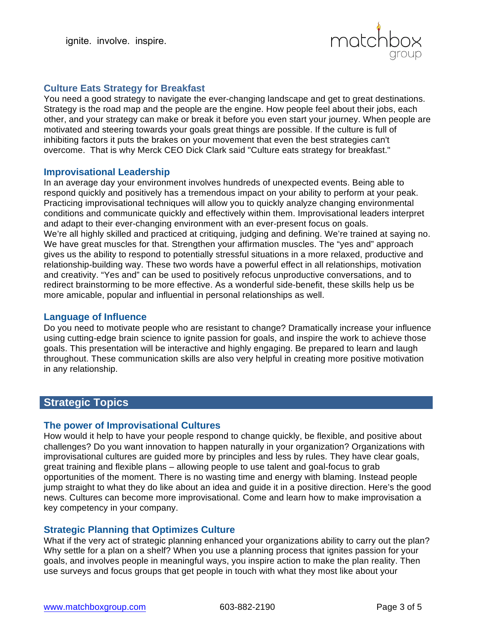

# **Culture Eats Strategy for Breakfast**

You need a good strategy to navigate the ever-changing landscape and get to great destinations. Strategy is the road map and the people are the engine. How people feel about their jobs, each other, and your strategy can make or break it before you even start your journey. When people are motivated and steering towards your goals great things are possible. If the culture is full of inhibiting factors it puts the brakes on your movement that even the best strategies can't overcome. That is why Merck CEO Dick Clark said "Culture eats strategy for breakfast."

### **Improvisational Leadership**

In an average day your environment involves hundreds of unexpected events. Being able to respond quickly and positively has a tremendous impact on your ability to perform at your peak. Practicing improvisational techniques will allow you to quickly analyze changing environmental conditions and communicate quickly and effectively within them. Improvisational leaders interpret and adapt to their ever-changing environment with an ever-present focus on goals. We're all highly skilled and practiced at critiquing, judging and defining. We're trained at saying no. We have great muscles for that. Strengthen your affirmation muscles. The "yes and" approach gives us the ability to respond to potentially stressful situations in a more relaxed, productive and relationship-building way. These two words have a powerful effect in all relationships, motivation and creativity. "Yes and" can be used to positively refocus unproductive conversations, and to redirect brainstorming to be more effective. As a wonderful side-benefit, these skills help us be more amicable, popular and influential in personal relationships as well.

# **Language of Influence**

Do you need to motivate people who are resistant to change? Dramatically increase your influence using cutting-edge brain science to ignite passion for goals, and inspire the work to achieve those goals. This presentation will be interactive and highly engaging. Be prepared to learn and laugh throughout. These communication skills are also very helpful in creating more positive motivation in any relationship.

# **Strategic Topics**

### **The power of Improvisational Cultures**

How would it help to have your people respond to change quickly, be flexible, and positive about challenges? Do you want innovation to happen naturally in your organization? Organizations with improvisational cultures are guided more by principles and less by rules. They have clear goals, great training and flexible plans – allowing people to use talent and goal-focus to grab opportunities of the moment. There is no wasting time and energy with blaming. Instead people jump straight to what they do like about an idea and guide it in a positive direction. Here's the good news. Cultures can become more improvisational. Come and learn how to make improvisation a key competency in your company.

## **Strategic Planning that Optimizes Culture**

What if the very act of strategic planning enhanced your organizations ability to carry out the plan? Why settle for a plan on a shelf? When you use a planning process that ignites passion for your goals, and involves people in meaningful ways, you inspire action to make the plan reality. Then use surveys and focus groups that get people in touch with what they most like about your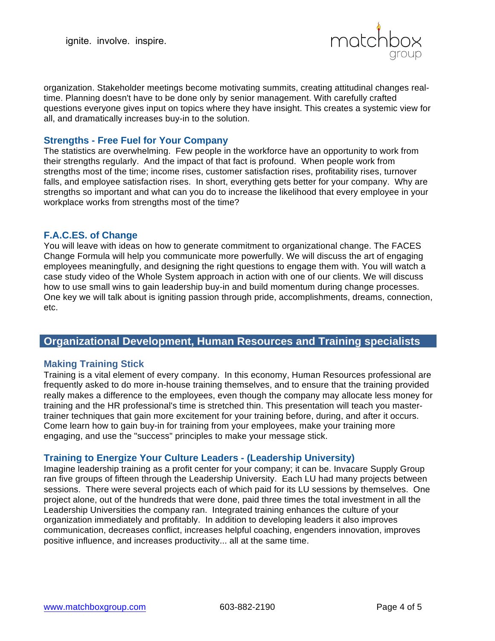

organization. Stakeholder meetings become motivating summits, creating attitudinal changes realtime. Planning doesn't have to be done only by senior management. With carefully crafted questions everyone gives input on topics where they have insight. This creates a systemic view for all, and dramatically increases buy-in to the solution.

### **Strengths - Free Fuel for Your Company**

The statistics are overwhelming. Few people in the workforce have an opportunity to work from their strengths regularly. And the impact of that fact is profound. When people work from strengths most of the time; income rises, customer satisfaction rises, profitability rises, turnover falls, and employee satisfaction rises. In short, everything gets better for your company. Why are strengths so important and what can you do to increase the likelihood that every employee in your workplace works from strengths most of the time?

### **F.A.C.ES. of Change**

You will leave with ideas on how to generate commitment to organizational change. The FACES Change Formula will help you communicate more powerfully. We will discuss the art of engaging employees meaningfully, and designing the right questions to engage them with. You will watch a case study video of the Whole System approach in action with one of our clients. We will discuss how to use small wins to gain leadership buy-in and build momentum during change processes. One key we will talk about is igniting passion through pride, accomplishments, dreams, connection, etc.

# **Organizational Development, Human Resources and Training specialists**

### **Making Training Stick**

Training is a vital element of every company. In this economy, Human Resources professional are frequently asked to do more in-house training themselves, and to ensure that the training provided really makes a difference to the employees, even though the company may allocate less money for training and the HR professional's time is stretched thin. This presentation will teach you mastertrainer techniques that gain more excitement for your training before, during, and after it occurs. Come learn how to gain buy-in for training from your employees, make your training more engaging, and use the "success" principles to make your message stick.

### **Training to Energize Your Culture Leaders - (Leadership University)**

Imagine leadership training as a profit center for your company; it can be. Invacare Supply Group ran five groups of fifteen through the Leadership University. Each LU had many projects between sessions. There were several projects each of which paid for its LU sessions by themselves. One project alone, out of the hundreds that were done, paid three times the total investment in all the Leadership Universities the company ran. Integrated training enhances the culture of your organization immediately and profitably. In addition to developing leaders it also improves communication, decreases conflict, increases helpful coaching, engenders innovation, improves positive influence, and increases productivity... all at the same time.